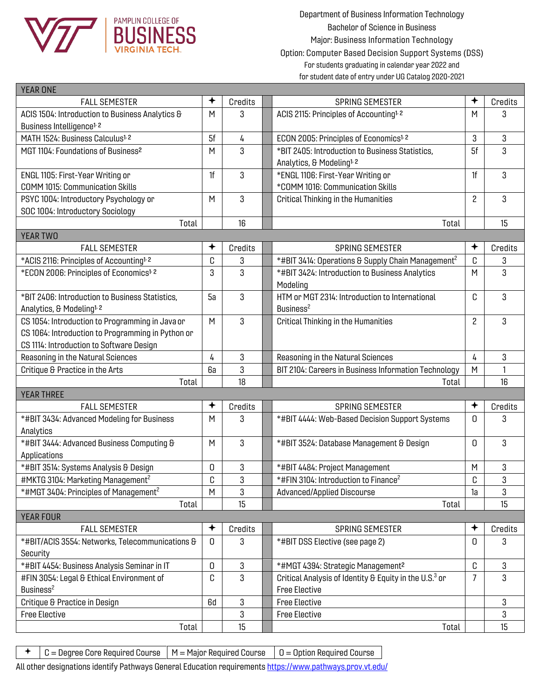

Department of Business Information Technology Bachelor of Science in Business Major: Business Information Technology Option: Computer Based Decision Support Systems (DSS) For students graduating in calendar year 2022 and for student date of entry under UG Catalog 2020-2021

| $\bigstar$<br>✦<br><b>FALL SEMESTER</b><br>Credits<br><b>SPRING SEMESTER</b><br>Credits<br>3<br>ACIS 1504: Introduction to Business Analytics &<br>M<br>ACIS 2115: Principles of Accounting <sup>1, 2</sup><br>М<br>3<br>Business Intelligence <sup>1, 2</sup><br>5f<br>MATH 1524: Business Calculus <sup>1, 2</sup><br>3<br>3<br>4<br>ECON 2005: Principles of Economics <sup>1, 2</sup><br>3<br>5f<br>3<br>MGT 1104: Foundations of Business <sup>2</sup><br>M<br>*BIT 2405: Introduction to Business Statistics,<br>Analytics, & Modeling <sup>1, 2</sup><br>3<br>3<br>*ENGL 1106: First-Year Writing or<br>1f<br>ENGL 1105: First-Year Writing or<br>1f<br><b>COMM 1015: Communication Skills</b><br>*COMM 1016: Communication Skills<br>3<br>$\overline{c}$<br>3<br>PSYC 1004: Introductory Psychology or<br>M<br><b>Critical Thinking in the Humanities</b><br>SOC 1004: Introductory Sociology<br>15<br>16<br>Total<br>Total<br>YEAR TWO<br>✦<br>✦<br>Credits<br><b>SPRING SEMESTER</b><br>Credits<br><b>FALL SEMESTER</b><br>*#BIT 3414: Operations & Supply Chain Management <sup>2</sup><br>C<br>3<br>*ACIS 2116: Principles of Accounting <sup>1, 2</sup><br>C<br>3<br>3<br>3<br>3<br>*ECON 2006: Principles of Economics <sup>1, 2</sup><br>*#BIT 3424: Introduction to Business Analytics<br>M<br>Modeling<br>3<br>3<br>HTM or MGT 2314: Introduction to International<br>*BIT 2406: Introduction to Business Statistics.<br>5a<br>C<br>Business <sup>2</sup><br>Analytics, & Modeling <sup>1, 2</sup><br>3<br>3<br>CS 1054: Introduction to Programming in Java or<br>2<br>M<br><b>Critical Thinking in the Humanities</b><br>CS 1064: Introduction to Programming in Python or<br>CS 1114: Introduction to Software Design<br>3<br>3<br>4<br>4<br>Reasoning in the Natural Sciences<br>Reasoning in the Natural Sciences<br>3<br>6а<br>BIT 2104: Careers in Business Information Technology<br>Critique & Practice in the Arts<br>M<br>18<br>16<br>Total<br>Total<br>YEAR THREE<br>✦<br>✦<br><b>FALL SEMESTER</b><br>Credits<br><b>SPRING SEMESTER</b><br>Credits<br>*#BIT 3434: Advanced Modeling for Business<br>3<br>*#BIT 4444: Web-Based Decision Support Systems<br>3<br>M<br><sup>0</sup><br>Analytics<br>3<br>3<br>*#BIT 3444: Advanced Business Computing &<br>*#BIT 3524: Database Management & Design<br>M<br>0<br>Applications<br>3<br>*#BIT 3514: Systems Analysis & Design<br>*#BIT 4484: Project Management<br>3<br>0<br>M<br>3<br>3<br>C<br>C<br>#MKTG 3104: Marketing Management <sup>2</sup><br>*#FIN 3104: Introduction to Finance <sup>2</sup><br>*#MGT 3404: Principles of Management <sup>2</sup><br>3<br>M<br>1a<br>3<br>Advanced/Applied Discourse<br>15<br>Total<br>Total<br>15<br><b>YEAR FOUR</b><br>✦<br><b>FALL SEMESTER</b><br>Credits<br>Credits<br><b>SPRING SEMESTER</b><br>3<br>0<br>*#BIT DSS Elective (see page 2)<br>3<br>*#BIT/ACIS 3554: Networks, Telecommunications &<br><sup>0</sup><br>Security<br>*#BIT 4454: Business Analysis Seminar in IT<br>3<br>*#MGT 4394: Strategic Management <sup>2</sup><br>0<br>3<br>C<br>3<br>Critical Analysis of Identity & Equity in the U.S. <sup>3</sup> or<br>$\overline{7}$<br>#FIN 3054: Legal & Ethical Environment of<br>C<br>3<br>Business <sup>2</sup><br><b>Free Elective</b><br>3<br>6d<br><b>Free Elective</b><br>Critique & Practice in Design<br>3<br>3<br>3<br><b>Free Elective</b><br><b>Free Elective</b><br>15<br>Total<br>15<br>Total | <b>YEAR ONE</b> |  |  |  |
|-----------------------------------------------------------------------------------------------------------------------------------------------------------------------------------------------------------------------------------------------------------------------------------------------------------------------------------------------------------------------------------------------------------------------------------------------------------------------------------------------------------------------------------------------------------------------------------------------------------------------------------------------------------------------------------------------------------------------------------------------------------------------------------------------------------------------------------------------------------------------------------------------------------------------------------------------------------------------------------------------------------------------------------------------------------------------------------------------------------------------------------------------------------------------------------------------------------------------------------------------------------------------------------------------------------------------------------------------------------------------------------------------------------------------------------------------------------------------------------------------------------------------------------------------------------------------------------------------------------------------------------------------------------------------------------------------------------------------------------------------------------------------------------------------------------------------------------------------------------------------------------------------------------------------------------------------------------------------------------------------------------------------------------------------------------------------------------------------------------------------------------------------------------------------------------------------------------------------------------------------------------------------------------------------------------------------------------------------------------------------------------------------------------------------------------------------------------------------------------------------------------------------------------------------------------------------------------------------------------------------------------------------------------------------------------------------------------------------------------------------------------------------------------------------------------------------------------------------------------------------------------------------------------------------------------------------------------------------------------------------------------------------------------------------------------------------------------------------------------------------------------------------------------------------------------------------------------------------------------------------------------------------------------------------------------------------------------------------------------------------------------------------------------------------------------------------------|-----------------|--|--|--|
|                                                                                                                                                                                                                                                                                                                                                                                                                                                                                                                                                                                                                                                                                                                                                                                                                                                                                                                                                                                                                                                                                                                                                                                                                                                                                                                                                                                                                                                                                                                                                                                                                                                                                                                                                                                                                                                                                                                                                                                                                                                                                                                                                                                                                                                                                                                                                                                                                                                                                                                                                                                                                                                                                                                                                                                                                                                                                                                                                                                                                                                                                                                                                                                                                                                                                                                                                                                                                                                     |                 |  |  |  |
|                                                                                                                                                                                                                                                                                                                                                                                                                                                                                                                                                                                                                                                                                                                                                                                                                                                                                                                                                                                                                                                                                                                                                                                                                                                                                                                                                                                                                                                                                                                                                                                                                                                                                                                                                                                                                                                                                                                                                                                                                                                                                                                                                                                                                                                                                                                                                                                                                                                                                                                                                                                                                                                                                                                                                                                                                                                                                                                                                                                                                                                                                                                                                                                                                                                                                                                                                                                                                                                     |                 |  |  |  |
|                                                                                                                                                                                                                                                                                                                                                                                                                                                                                                                                                                                                                                                                                                                                                                                                                                                                                                                                                                                                                                                                                                                                                                                                                                                                                                                                                                                                                                                                                                                                                                                                                                                                                                                                                                                                                                                                                                                                                                                                                                                                                                                                                                                                                                                                                                                                                                                                                                                                                                                                                                                                                                                                                                                                                                                                                                                                                                                                                                                                                                                                                                                                                                                                                                                                                                                                                                                                                                                     |                 |  |  |  |
|                                                                                                                                                                                                                                                                                                                                                                                                                                                                                                                                                                                                                                                                                                                                                                                                                                                                                                                                                                                                                                                                                                                                                                                                                                                                                                                                                                                                                                                                                                                                                                                                                                                                                                                                                                                                                                                                                                                                                                                                                                                                                                                                                                                                                                                                                                                                                                                                                                                                                                                                                                                                                                                                                                                                                                                                                                                                                                                                                                                                                                                                                                                                                                                                                                                                                                                                                                                                                                                     |                 |  |  |  |
|                                                                                                                                                                                                                                                                                                                                                                                                                                                                                                                                                                                                                                                                                                                                                                                                                                                                                                                                                                                                                                                                                                                                                                                                                                                                                                                                                                                                                                                                                                                                                                                                                                                                                                                                                                                                                                                                                                                                                                                                                                                                                                                                                                                                                                                                                                                                                                                                                                                                                                                                                                                                                                                                                                                                                                                                                                                                                                                                                                                                                                                                                                                                                                                                                                                                                                                                                                                                                                                     |                 |  |  |  |
|                                                                                                                                                                                                                                                                                                                                                                                                                                                                                                                                                                                                                                                                                                                                                                                                                                                                                                                                                                                                                                                                                                                                                                                                                                                                                                                                                                                                                                                                                                                                                                                                                                                                                                                                                                                                                                                                                                                                                                                                                                                                                                                                                                                                                                                                                                                                                                                                                                                                                                                                                                                                                                                                                                                                                                                                                                                                                                                                                                                                                                                                                                                                                                                                                                                                                                                                                                                                                                                     |                 |  |  |  |
|                                                                                                                                                                                                                                                                                                                                                                                                                                                                                                                                                                                                                                                                                                                                                                                                                                                                                                                                                                                                                                                                                                                                                                                                                                                                                                                                                                                                                                                                                                                                                                                                                                                                                                                                                                                                                                                                                                                                                                                                                                                                                                                                                                                                                                                                                                                                                                                                                                                                                                                                                                                                                                                                                                                                                                                                                                                                                                                                                                                                                                                                                                                                                                                                                                                                                                                                                                                                                                                     |                 |  |  |  |
|                                                                                                                                                                                                                                                                                                                                                                                                                                                                                                                                                                                                                                                                                                                                                                                                                                                                                                                                                                                                                                                                                                                                                                                                                                                                                                                                                                                                                                                                                                                                                                                                                                                                                                                                                                                                                                                                                                                                                                                                                                                                                                                                                                                                                                                                                                                                                                                                                                                                                                                                                                                                                                                                                                                                                                                                                                                                                                                                                                                                                                                                                                                                                                                                                                                                                                                                                                                                                                                     |                 |  |  |  |
|                                                                                                                                                                                                                                                                                                                                                                                                                                                                                                                                                                                                                                                                                                                                                                                                                                                                                                                                                                                                                                                                                                                                                                                                                                                                                                                                                                                                                                                                                                                                                                                                                                                                                                                                                                                                                                                                                                                                                                                                                                                                                                                                                                                                                                                                                                                                                                                                                                                                                                                                                                                                                                                                                                                                                                                                                                                                                                                                                                                                                                                                                                                                                                                                                                                                                                                                                                                                                                                     |                 |  |  |  |
|                                                                                                                                                                                                                                                                                                                                                                                                                                                                                                                                                                                                                                                                                                                                                                                                                                                                                                                                                                                                                                                                                                                                                                                                                                                                                                                                                                                                                                                                                                                                                                                                                                                                                                                                                                                                                                                                                                                                                                                                                                                                                                                                                                                                                                                                                                                                                                                                                                                                                                                                                                                                                                                                                                                                                                                                                                                                                                                                                                                                                                                                                                                                                                                                                                                                                                                                                                                                                                                     |                 |  |  |  |
|                                                                                                                                                                                                                                                                                                                                                                                                                                                                                                                                                                                                                                                                                                                                                                                                                                                                                                                                                                                                                                                                                                                                                                                                                                                                                                                                                                                                                                                                                                                                                                                                                                                                                                                                                                                                                                                                                                                                                                                                                                                                                                                                                                                                                                                                                                                                                                                                                                                                                                                                                                                                                                                                                                                                                                                                                                                                                                                                                                                                                                                                                                                                                                                                                                                                                                                                                                                                                                                     |                 |  |  |  |
|                                                                                                                                                                                                                                                                                                                                                                                                                                                                                                                                                                                                                                                                                                                                                                                                                                                                                                                                                                                                                                                                                                                                                                                                                                                                                                                                                                                                                                                                                                                                                                                                                                                                                                                                                                                                                                                                                                                                                                                                                                                                                                                                                                                                                                                                                                                                                                                                                                                                                                                                                                                                                                                                                                                                                                                                                                                                                                                                                                                                                                                                                                                                                                                                                                                                                                                                                                                                                                                     |                 |  |  |  |
|                                                                                                                                                                                                                                                                                                                                                                                                                                                                                                                                                                                                                                                                                                                                                                                                                                                                                                                                                                                                                                                                                                                                                                                                                                                                                                                                                                                                                                                                                                                                                                                                                                                                                                                                                                                                                                                                                                                                                                                                                                                                                                                                                                                                                                                                                                                                                                                                                                                                                                                                                                                                                                                                                                                                                                                                                                                                                                                                                                                                                                                                                                                                                                                                                                                                                                                                                                                                                                                     |                 |  |  |  |
|                                                                                                                                                                                                                                                                                                                                                                                                                                                                                                                                                                                                                                                                                                                                                                                                                                                                                                                                                                                                                                                                                                                                                                                                                                                                                                                                                                                                                                                                                                                                                                                                                                                                                                                                                                                                                                                                                                                                                                                                                                                                                                                                                                                                                                                                                                                                                                                                                                                                                                                                                                                                                                                                                                                                                                                                                                                                                                                                                                                                                                                                                                                                                                                                                                                                                                                                                                                                                                                     |                 |  |  |  |
|                                                                                                                                                                                                                                                                                                                                                                                                                                                                                                                                                                                                                                                                                                                                                                                                                                                                                                                                                                                                                                                                                                                                                                                                                                                                                                                                                                                                                                                                                                                                                                                                                                                                                                                                                                                                                                                                                                                                                                                                                                                                                                                                                                                                                                                                                                                                                                                                                                                                                                                                                                                                                                                                                                                                                                                                                                                                                                                                                                                                                                                                                                                                                                                                                                                                                                                                                                                                                                                     |                 |  |  |  |
|                                                                                                                                                                                                                                                                                                                                                                                                                                                                                                                                                                                                                                                                                                                                                                                                                                                                                                                                                                                                                                                                                                                                                                                                                                                                                                                                                                                                                                                                                                                                                                                                                                                                                                                                                                                                                                                                                                                                                                                                                                                                                                                                                                                                                                                                                                                                                                                                                                                                                                                                                                                                                                                                                                                                                                                                                                                                                                                                                                                                                                                                                                                                                                                                                                                                                                                                                                                                                                                     |                 |  |  |  |
|                                                                                                                                                                                                                                                                                                                                                                                                                                                                                                                                                                                                                                                                                                                                                                                                                                                                                                                                                                                                                                                                                                                                                                                                                                                                                                                                                                                                                                                                                                                                                                                                                                                                                                                                                                                                                                                                                                                                                                                                                                                                                                                                                                                                                                                                                                                                                                                                                                                                                                                                                                                                                                                                                                                                                                                                                                                                                                                                                                                                                                                                                                                                                                                                                                                                                                                                                                                                                                                     |                 |  |  |  |
|                                                                                                                                                                                                                                                                                                                                                                                                                                                                                                                                                                                                                                                                                                                                                                                                                                                                                                                                                                                                                                                                                                                                                                                                                                                                                                                                                                                                                                                                                                                                                                                                                                                                                                                                                                                                                                                                                                                                                                                                                                                                                                                                                                                                                                                                                                                                                                                                                                                                                                                                                                                                                                                                                                                                                                                                                                                                                                                                                                                                                                                                                                                                                                                                                                                                                                                                                                                                                                                     |                 |  |  |  |
|                                                                                                                                                                                                                                                                                                                                                                                                                                                                                                                                                                                                                                                                                                                                                                                                                                                                                                                                                                                                                                                                                                                                                                                                                                                                                                                                                                                                                                                                                                                                                                                                                                                                                                                                                                                                                                                                                                                                                                                                                                                                                                                                                                                                                                                                                                                                                                                                                                                                                                                                                                                                                                                                                                                                                                                                                                                                                                                                                                                                                                                                                                                                                                                                                                                                                                                                                                                                                                                     |                 |  |  |  |
|                                                                                                                                                                                                                                                                                                                                                                                                                                                                                                                                                                                                                                                                                                                                                                                                                                                                                                                                                                                                                                                                                                                                                                                                                                                                                                                                                                                                                                                                                                                                                                                                                                                                                                                                                                                                                                                                                                                                                                                                                                                                                                                                                                                                                                                                                                                                                                                                                                                                                                                                                                                                                                                                                                                                                                                                                                                                                                                                                                                                                                                                                                                                                                                                                                                                                                                                                                                                                                                     |                 |  |  |  |
|                                                                                                                                                                                                                                                                                                                                                                                                                                                                                                                                                                                                                                                                                                                                                                                                                                                                                                                                                                                                                                                                                                                                                                                                                                                                                                                                                                                                                                                                                                                                                                                                                                                                                                                                                                                                                                                                                                                                                                                                                                                                                                                                                                                                                                                                                                                                                                                                                                                                                                                                                                                                                                                                                                                                                                                                                                                                                                                                                                                                                                                                                                                                                                                                                                                                                                                                                                                                                                                     |                 |  |  |  |
|                                                                                                                                                                                                                                                                                                                                                                                                                                                                                                                                                                                                                                                                                                                                                                                                                                                                                                                                                                                                                                                                                                                                                                                                                                                                                                                                                                                                                                                                                                                                                                                                                                                                                                                                                                                                                                                                                                                                                                                                                                                                                                                                                                                                                                                                                                                                                                                                                                                                                                                                                                                                                                                                                                                                                                                                                                                                                                                                                                                                                                                                                                                                                                                                                                                                                                                                                                                                                                                     |                 |  |  |  |
|                                                                                                                                                                                                                                                                                                                                                                                                                                                                                                                                                                                                                                                                                                                                                                                                                                                                                                                                                                                                                                                                                                                                                                                                                                                                                                                                                                                                                                                                                                                                                                                                                                                                                                                                                                                                                                                                                                                                                                                                                                                                                                                                                                                                                                                                                                                                                                                                                                                                                                                                                                                                                                                                                                                                                                                                                                                                                                                                                                                                                                                                                                                                                                                                                                                                                                                                                                                                                                                     |                 |  |  |  |
|                                                                                                                                                                                                                                                                                                                                                                                                                                                                                                                                                                                                                                                                                                                                                                                                                                                                                                                                                                                                                                                                                                                                                                                                                                                                                                                                                                                                                                                                                                                                                                                                                                                                                                                                                                                                                                                                                                                                                                                                                                                                                                                                                                                                                                                                                                                                                                                                                                                                                                                                                                                                                                                                                                                                                                                                                                                                                                                                                                                                                                                                                                                                                                                                                                                                                                                                                                                                                                                     |                 |  |  |  |
|                                                                                                                                                                                                                                                                                                                                                                                                                                                                                                                                                                                                                                                                                                                                                                                                                                                                                                                                                                                                                                                                                                                                                                                                                                                                                                                                                                                                                                                                                                                                                                                                                                                                                                                                                                                                                                                                                                                                                                                                                                                                                                                                                                                                                                                                                                                                                                                                                                                                                                                                                                                                                                                                                                                                                                                                                                                                                                                                                                                                                                                                                                                                                                                                                                                                                                                                                                                                                                                     |                 |  |  |  |
|                                                                                                                                                                                                                                                                                                                                                                                                                                                                                                                                                                                                                                                                                                                                                                                                                                                                                                                                                                                                                                                                                                                                                                                                                                                                                                                                                                                                                                                                                                                                                                                                                                                                                                                                                                                                                                                                                                                                                                                                                                                                                                                                                                                                                                                                                                                                                                                                                                                                                                                                                                                                                                                                                                                                                                                                                                                                                                                                                                                                                                                                                                                                                                                                                                                                                                                                                                                                                                                     |                 |  |  |  |
|                                                                                                                                                                                                                                                                                                                                                                                                                                                                                                                                                                                                                                                                                                                                                                                                                                                                                                                                                                                                                                                                                                                                                                                                                                                                                                                                                                                                                                                                                                                                                                                                                                                                                                                                                                                                                                                                                                                                                                                                                                                                                                                                                                                                                                                                                                                                                                                                                                                                                                                                                                                                                                                                                                                                                                                                                                                                                                                                                                                                                                                                                                                                                                                                                                                                                                                                                                                                                                                     |                 |  |  |  |
|                                                                                                                                                                                                                                                                                                                                                                                                                                                                                                                                                                                                                                                                                                                                                                                                                                                                                                                                                                                                                                                                                                                                                                                                                                                                                                                                                                                                                                                                                                                                                                                                                                                                                                                                                                                                                                                                                                                                                                                                                                                                                                                                                                                                                                                                                                                                                                                                                                                                                                                                                                                                                                                                                                                                                                                                                                                                                                                                                                                                                                                                                                                                                                                                                                                                                                                                                                                                                                                     |                 |  |  |  |
|                                                                                                                                                                                                                                                                                                                                                                                                                                                                                                                                                                                                                                                                                                                                                                                                                                                                                                                                                                                                                                                                                                                                                                                                                                                                                                                                                                                                                                                                                                                                                                                                                                                                                                                                                                                                                                                                                                                                                                                                                                                                                                                                                                                                                                                                                                                                                                                                                                                                                                                                                                                                                                                                                                                                                                                                                                                                                                                                                                                                                                                                                                                                                                                                                                                                                                                                                                                                                                                     |                 |  |  |  |
|                                                                                                                                                                                                                                                                                                                                                                                                                                                                                                                                                                                                                                                                                                                                                                                                                                                                                                                                                                                                                                                                                                                                                                                                                                                                                                                                                                                                                                                                                                                                                                                                                                                                                                                                                                                                                                                                                                                                                                                                                                                                                                                                                                                                                                                                                                                                                                                                                                                                                                                                                                                                                                                                                                                                                                                                                                                                                                                                                                                                                                                                                                                                                                                                                                                                                                                                                                                                                                                     |                 |  |  |  |
|                                                                                                                                                                                                                                                                                                                                                                                                                                                                                                                                                                                                                                                                                                                                                                                                                                                                                                                                                                                                                                                                                                                                                                                                                                                                                                                                                                                                                                                                                                                                                                                                                                                                                                                                                                                                                                                                                                                                                                                                                                                                                                                                                                                                                                                                                                                                                                                                                                                                                                                                                                                                                                                                                                                                                                                                                                                                                                                                                                                                                                                                                                                                                                                                                                                                                                                                                                                                                                                     |                 |  |  |  |
|                                                                                                                                                                                                                                                                                                                                                                                                                                                                                                                                                                                                                                                                                                                                                                                                                                                                                                                                                                                                                                                                                                                                                                                                                                                                                                                                                                                                                                                                                                                                                                                                                                                                                                                                                                                                                                                                                                                                                                                                                                                                                                                                                                                                                                                                                                                                                                                                                                                                                                                                                                                                                                                                                                                                                                                                                                                                                                                                                                                                                                                                                                                                                                                                                                                                                                                                                                                                                                                     |                 |  |  |  |
|                                                                                                                                                                                                                                                                                                                                                                                                                                                                                                                                                                                                                                                                                                                                                                                                                                                                                                                                                                                                                                                                                                                                                                                                                                                                                                                                                                                                                                                                                                                                                                                                                                                                                                                                                                                                                                                                                                                                                                                                                                                                                                                                                                                                                                                                                                                                                                                                                                                                                                                                                                                                                                                                                                                                                                                                                                                                                                                                                                                                                                                                                                                                                                                                                                                                                                                                                                                                                                                     |                 |  |  |  |
|                                                                                                                                                                                                                                                                                                                                                                                                                                                                                                                                                                                                                                                                                                                                                                                                                                                                                                                                                                                                                                                                                                                                                                                                                                                                                                                                                                                                                                                                                                                                                                                                                                                                                                                                                                                                                                                                                                                                                                                                                                                                                                                                                                                                                                                                                                                                                                                                                                                                                                                                                                                                                                                                                                                                                                                                                                                                                                                                                                                                                                                                                                                                                                                                                                                                                                                                                                                                                                                     |                 |  |  |  |
|                                                                                                                                                                                                                                                                                                                                                                                                                                                                                                                                                                                                                                                                                                                                                                                                                                                                                                                                                                                                                                                                                                                                                                                                                                                                                                                                                                                                                                                                                                                                                                                                                                                                                                                                                                                                                                                                                                                                                                                                                                                                                                                                                                                                                                                                                                                                                                                                                                                                                                                                                                                                                                                                                                                                                                                                                                                                                                                                                                                                                                                                                                                                                                                                                                                                                                                                                                                                                                                     |                 |  |  |  |
|                                                                                                                                                                                                                                                                                                                                                                                                                                                                                                                                                                                                                                                                                                                                                                                                                                                                                                                                                                                                                                                                                                                                                                                                                                                                                                                                                                                                                                                                                                                                                                                                                                                                                                                                                                                                                                                                                                                                                                                                                                                                                                                                                                                                                                                                                                                                                                                                                                                                                                                                                                                                                                                                                                                                                                                                                                                                                                                                                                                                                                                                                                                                                                                                                                                                                                                                                                                                                                                     |                 |  |  |  |
|                                                                                                                                                                                                                                                                                                                                                                                                                                                                                                                                                                                                                                                                                                                                                                                                                                                                                                                                                                                                                                                                                                                                                                                                                                                                                                                                                                                                                                                                                                                                                                                                                                                                                                                                                                                                                                                                                                                                                                                                                                                                                                                                                                                                                                                                                                                                                                                                                                                                                                                                                                                                                                                                                                                                                                                                                                                                                                                                                                                                                                                                                                                                                                                                                                                                                                                                                                                                                                                     |                 |  |  |  |
|                                                                                                                                                                                                                                                                                                                                                                                                                                                                                                                                                                                                                                                                                                                                                                                                                                                                                                                                                                                                                                                                                                                                                                                                                                                                                                                                                                                                                                                                                                                                                                                                                                                                                                                                                                                                                                                                                                                                                                                                                                                                                                                                                                                                                                                                                                                                                                                                                                                                                                                                                                                                                                                                                                                                                                                                                                                                                                                                                                                                                                                                                                                                                                                                                                                                                                                                                                                                                                                     |                 |  |  |  |
|                                                                                                                                                                                                                                                                                                                                                                                                                                                                                                                                                                                                                                                                                                                                                                                                                                                                                                                                                                                                                                                                                                                                                                                                                                                                                                                                                                                                                                                                                                                                                                                                                                                                                                                                                                                                                                                                                                                                                                                                                                                                                                                                                                                                                                                                                                                                                                                                                                                                                                                                                                                                                                                                                                                                                                                                                                                                                                                                                                                                                                                                                                                                                                                                                                                                                                                                                                                                                                                     |                 |  |  |  |
|                                                                                                                                                                                                                                                                                                                                                                                                                                                                                                                                                                                                                                                                                                                                                                                                                                                                                                                                                                                                                                                                                                                                                                                                                                                                                                                                                                                                                                                                                                                                                                                                                                                                                                                                                                                                                                                                                                                                                                                                                                                                                                                                                                                                                                                                                                                                                                                                                                                                                                                                                                                                                                                                                                                                                                                                                                                                                                                                                                                                                                                                                                                                                                                                                                                                                                                                                                                                                                                     |                 |  |  |  |
|                                                                                                                                                                                                                                                                                                                                                                                                                                                                                                                                                                                                                                                                                                                                                                                                                                                                                                                                                                                                                                                                                                                                                                                                                                                                                                                                                                                                                                                                                                                                                                                                                                                                                                                                                                                                                                                                                                                                                                                                                                                                                                                                                                                                                                                                                                                                                                                                                                                                                                                                                                                                                                                                                                                                                                                                                                                                                                                                                                                                                                                                                                                                                                                                                                                                                                                                                                                                                                                     |                 |  |  |  |
|                                                                                                                                                                                                                                                                                                                                                                                                                                                                                                                                                                                                                                                                                                                                                                                                                                                                                                                                                                                                                                                                                                                                                                                                                                                                                                                                                                                                                                                                                                                                                                                                                                                                                                                                                                                                                                                                                                                                                                                                                                                                                                                                                                                                                                                                                                                                                                                                                                                                                                                                                                                                                                                                                                                                                                                                                                                                                                                                                                                                                                                                                                                                                                                                                                                                                                                                                                                                                                                     |                 |  |  |  |
|                                                                                                                                                                                                                                                                                                                                                                                                                                                                                                                                                                                                                                                                                                                                                                                                                                                                                                                                                                                                                                                                                                                                                                                                                                                                                                                                                                                                                                                                                                                                                                                                                                                                                                                                                                                                                                                                                                                                                                                                                                                                                                                                                                                                                                                                                                                                                                                                                                                                                                                                                                                                                                                                                                                                                                                                                                                                                                                                                                                                                                                                                                                                                                                                                                                                                                                                                                                                                                                     |                 |  |  |  |
|                                                                                                                                                                                                                                                                                                                                                                                                                                                                                                                                                                                                                                                                                                                                                                                                                                                                                                                                                                                                                                                                                                                                                                                                                                                                                                                                                                                                                                                                                                                                                                                                                                                                                                                                                                                                                                                                                                                                                                                                                                                                                                                                                                                                                                                                                                                                                                                                                                                                                                                                                                                                                                                                                                                                                                                                                                                                                                                                                                                                                                                                                                                                                                                                                                                                                                                                                                                                                                                     |                 |  |  |  |

 $\bigstar$  | C = Degree Core Required Course | M = Major Required Course | O = Option Required Course

All other designations identify Pathways General Education requirement[s https://www.pathways.prov.vt.edu/](https://www.pathways.prov.vt.edu/)